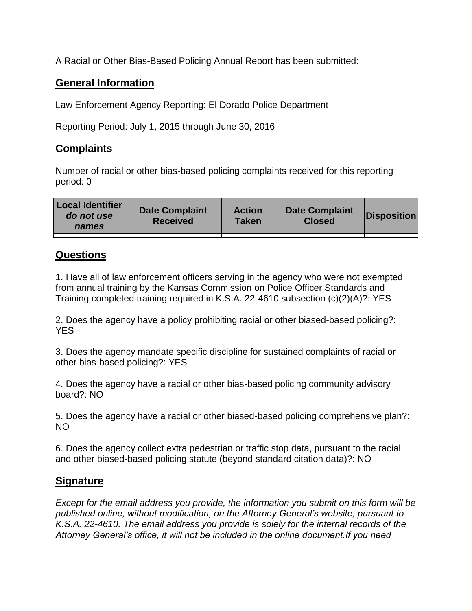A Racial or Other Bias-Based Policing Annual Report has been submitted:

## **General Information**

Law Enforcement Agency Reporting: El Dorado Police Department

Reporting Period: July 1, 2015 through June 30, 2016

## **Complaints**

Number of racial or other bias-based policing complaints received for this reporting period: 0

| <b>Local Identifier</b><br>do not use<br>names | <b>Date Complaint</b><br><b>Received</b> | <b>Action</b><br><b>Taken</b> | <b>Date Complaint</b><br><b>Closed</b> | Disposition |
|------------------------------------------------|------------------------------------------|-------------------------------|----------------------------------------|-------------|
|                                                |                                          |                               |                                        |             |

## **Questions**

1. Have all of law enforcement officers serving in the agency who were not exempted from annual training by the Kansas Commission on Police Officer Standards and Training completed training required in K.S.A. 22-4610 subsection (c)(2)(A)?: YES

2. Does the agency have a policy prohibiting racial or other biased-based policing?: YES

3. Does the agency mandate specific discipline for sustained complaints of racial or other bias-based policing?: YES

4. Does the agency have a racial or other bias-based policing community advisory board?: NO

5. Does the agency have a racial or other biased-based policing comprehensive plan?: NO

6. Does the agency collect extra pedestrian or traffic stop data, pursuant to the racial and other biased-based policing statute (beyond standard citation data)?: NO

## **Signature**

*Except for the email address you provide, the information you submit on this form will be published online, without modification, on the Attorney General's website, pursuant to K.S.A. 22-4610. The email address you provide is solely for the internal records of the Attorney General's office, it will not be included in the online document.If you need*